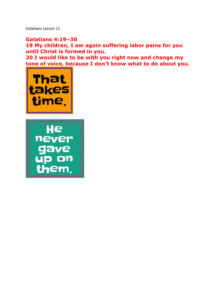Galatians Lesson 11

**Galatians 4:19–30 19 My children, I am again suffering labor pains for you until Christ is formed in you. 20 I would like to be with you right now and change my tone of voice, because I don't know what to do about you.** 



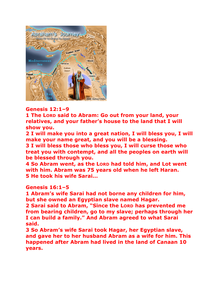

# **Genesis 12:1–9**

**1 The LORD said to Abram: Go out from your land, your relatives, and your father's house to the land that I will show you.** 

**2 I will make you into a great nation, I will bless you, I will make your name great, and you will be a blessing.** 

**3 I will bless those who bless you, I will curse those who treat you with contempt, and all the peoples on earth will be blessed through you.** 

**4 So Abram went, as the LORD had told him, and Lot went with him. Abram was 75 years old when he left Haran. 5 He took his wife Sarai…**

# **Genesis 16:1–5**

**1 Abram's wife Sarai had not borne any children for him, but she owned an Egyptian slave named Hagar.** 

**2 Sarai said to Abram, "Since the LORD has prevented me from bearing children, go to my slave; perhaps through her I can build a family." And Abram agreed to what Sarai said.** 

**3 So Abram's wife Sarai took Hagar, her Egyptian slave, and gave her to her husband Abram as a wife for him. This happened after Abram had lived in the land of Canaan 10 years.**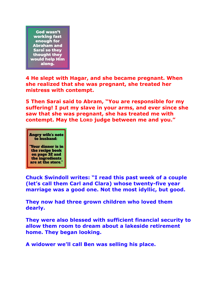God wasn't working fast enough for **Abraham and** Sarai so they thought they would help Him along.

**4 He slept with Hagar, and she became pregnant. When she realized that she was pregnant, she treated her mistress with contempt.** 

**5 Then Sarai said to Abram, "You are responsible for my suffering! I put my slave in your arms, and ever since she saw that she was pregnant, she has treated me with contempt. May the LORD judge between me and you."** 



"Your dinner is in the recipe book on page 32 and the ingredients are at the store.'

**Chuck Swindoll writes: "I read this past week of a couple (let's call them Carl and Clara) whose twenty-five year marriage was a good one. Not the most idyllic, but good.** 

**They now had three grown children who loved them dearly.** 

**They were also blessed with sufficient financial security to allow them room to dream about a lakeside retirement home. They began looking.** 

**A widower we'll call Ben was selling his place.**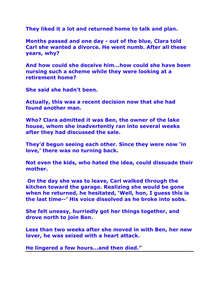**They liked it a lot and returned home to talk and plan.** 

**Months passed and one day - out of the blue, Clara told Carl she wanted a divorce. He went numb. After all these years, why?** 

**And how could she deceive him...how could she have been nursing such a scheme while they were looking at a retirement home?** 

**She said she hadn't been.** 

**Actually, this was a recent decision now that she had found another man.** 

**Who? Clara admitted it was Ben, the owner of the lake house, whom she inadvertently ran into several weeks after they had discussed the sale.** 

**They'd begun seeing each other. Since they were now 'in love,' there was no turning back.** 

**Not even the kids, who hated the idea, could dissuade their mother.**

**On the day she was to leave, Carl walked through the kitchen toward the garage. Realizing she would be gone when he returned, he hesitated, 'Well, hon, I guess this is the last time--' His voice dissolved as he broke into sobs.** 

**She felt uneasy, hurriedly got her things together, and drove north to join Ben.** 

**Less than two weeks after she moved in with Ben, her new lover, he was seized with a heart attack.** 

**He lingered a few hours...and then died."**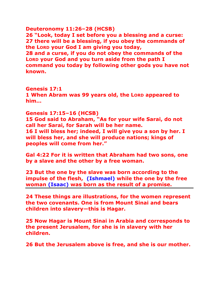### **Deuteronomy 11:26–28 (HCSB)**

**26 "Look, today I set before you a blessing and a curse: 27 there will be a blessing, if you obey the commands of the LORD your God I am giving you today, 28 and a curse, if you do not obey the commands of the LORD your God and you turn aside from the path I command you today by following other gods you have not known.** 

#### **Genesis 17:1**

**1 When Abram was 99 years old, the LORD appeared to him…**

### **Genesis 17:15–16 (HCSB)**

**15 God said to Abraham, "As for your wife Sarai, do not call her Sarai, for Sarah will be her name. 16 I will bless her; indeed, I will give you a son by her. I will bless her, and she will produce nations; kings of peoples will come from her."** 

**Gal 4:22 For it is written that Abraham had two sons, one by a slave and the other by a free woman.** 

**23 But the one by the slave was born according to the impulse of the flesh, (Ishmael) while the one by the free woman (Isaac) was born as the result of a promise.** 

**24 These things are illustrations, for the women represent the two covenants. One is from Mount Sinai and bears children into slavery—this is Hagar.** 

**25 Now Hagar is Mount Sinai in Arabia and corresponds to the present Jerusalem, for she is in slavery with her children.** 

**26 But the Jerusalem above is free, and she is our mother.**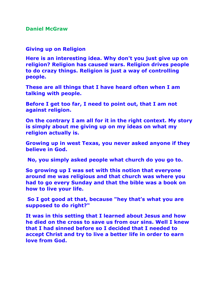**Daniel McGraw** 

**Giving up on Religion**

**Here is an interesting idea. Why don't you just give up on religion? Religion has caused wars. Religion drives people to do crazy things. Religion is just a way of controlling people.** 

**These are all things that I have heard often when I am talking with people.** 

**Before I get too far, I need to point out, that I am not against religion.** 

**On the contrary I am all for it in the right context. My story is simply about me giving up on my ideas on what my religion actually is.**

**Growing up in west Texas, you never asked anyone if they believe in God.**

**No, you simply asked people what church do you go to.** 

**So growing up I was set with this notion that everyone around me was religious and that church was where you had to go every Sunday and that the bible was a book on how to live your life.**

**So I got good at that, because "hey that's what you are supposed to do right?"** 

**It was in this setting that I learned about Jesus and how he died on the cross to save us from our sins. Well I knew that I had sinned before so I decided that I needed to accept Christ and try to live a better life in order to earn love from God.**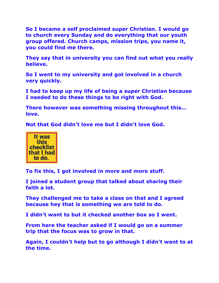**So I became a self proclaimed super Christian. I would go to church every Sunday and do everything that our youth group offered. Church camps, mission trips, you name it, you could find me there.**

**They say that in university you can find out what you really believe.** 

**So I went to my university and got involved in a church very quickly.** 

**I had to keep up my life of being a super Christian because I needed to do these things to be right with God.** 

**There however was something missing throughout this... love.** 

**Not that God didn't love me but I didn't love God.** 



**To fix this, I got involved in more and more stuff.** 

**I joined a student group that talked about sharing their faith a lot.** 

**They challenged me to take a class on that and I agreed because hey that is something we are told to do.** 

**I didn't want to but it checked another box so I went.** 

**From here the teacher asked if I would go on a summer trip that the focus was to grow in that.** 

**Again, I couldn't help but to go although I didn't want to at the time.**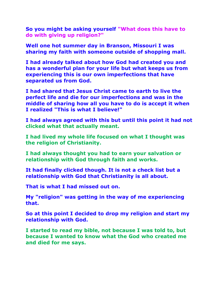**So you might be asking yourself "What does this have to do with giving up religion?"** 

**Well one hot summer day in Branson, Missouri I was sharing my faith with someone outside of shopping mall.** 

**I had already talked about how God had created you and has a wonderful plan for your life but what keeps us from experiencing this is our own imperfections that have separated us from God.** 

**I had shared that Jesus Christ came to earth to live the perfect life and die for our imperfections and was in the middle of sharing how all you have to do is accept it when I realized "This is what I believe!"** 

**I had always agreed with this but until this point it had not clicked what that actually meant.** 

**I had lived my whole life focused on what I thought was the religion of Christianity.** 

**I had always thought you had to earn your salvation or relationship with God through faith and works.** 

**It had finally clicked though. It is not a check list but a relationship with God that Christianity is all about.** 

**That is what I had missed out on.** 

**My "religion" was getting in the way of me experiencing that.** 

**So at this point I decided to drop my religion and start my relationship with God.**

**I started to read my bible, not because I was told to, but because I wanted to know what the God who created me and died for me says.**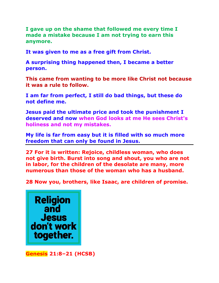**I gave up on the shame that followed me every time I made a mistake because I am not trying to earn this anymore.** 

**It was given to me as a free gift from Christ.** 

**A surprising thing happened then, I became a better person.** 

**This came from wanting to be more like Christ not because it was a rule to follow.** 

**I am far from perfect, I still do bad things, but these do not define me.** 

**Jesus paid the ultimate price and took the punishment I deserved and now when God looks at me He sees Christ's holiness and not my mistakes.** 

**My life is far from easy but it is filled with so much more freedom that can only be found in Jesus.**

**27 For it is written: Rejoice, childless woman, who does not give birth. Burst into song and shout, you who are not in labor, for the children of the desolate are many, more numerous than those of the woman who has a husband.** 

**28 Now you, brothers, like Isaac, are children of promise.** 



**Genesis 21:8–21 (HCSB)**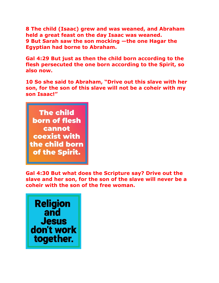**8 The child (Isaac) grew and was weaned, and Abraham held a great feast on the day Isaac was weaned. 9 But Sarah saw the son mocking —the one Hagar the Egyptian had borne to Abraham.** 

**Gal 4:29 But just as then the child born according to the flesh persecuted the one born according to the Spirit, so also now.** 

**10 So she said to Abraham, "Drive out this slave with her son, for the son of this slave will not be a coheir with my son Isaac!"** 



**Gal 4:30 But what does the Scripture say? Drive out the slave and her son, for the son of the slave will never be a coheir with the son of the free woman.** 

**Religion**<br>and **Jesus** don't work together.